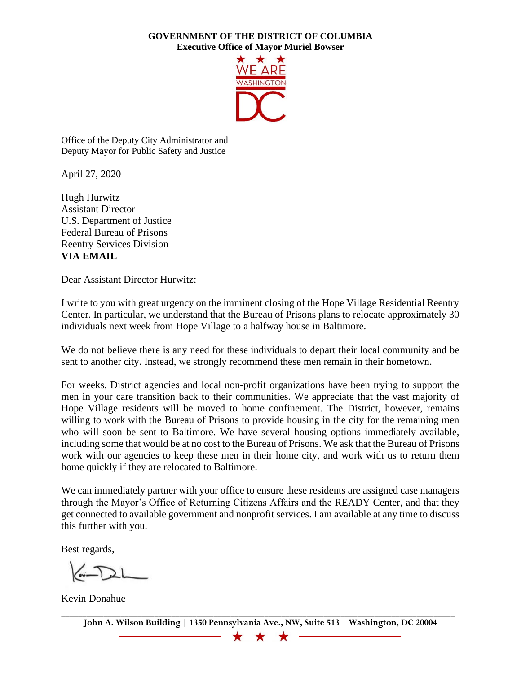## **GOVERNMENT OF THE DISTRICT OF COLUMBIA Executive Office of Mayor Muriel Bowser**



Office of the Deputy City Administrator and Deputy Mayor for Public Safety and Justice

April 27, 2020

Hugh Hurwitz Assistant Director U.S. Department of Justice Federal Bureau of Prisons Reentry Services Division **VIA EMAIL**

Dear Assistant Director Hurwitz:

I write to you with great urgency on the imminent closing of the Hope Village Residential Reentry Center. In particular, we understand that the Bureau of Prisons plans to relocate approximately 30 individuals next week from Hope Village to a halfway house in Baltimore.

We do not believe there is any need for these individuals to depart their local community and be sent to another city. Instead, we strongly recommend these men remain in their hometown.

For weeks, District agencies and local non-profit organizations have been trying to support the men in your care transition back to their communities. We appreciate that the vast majority of Hope Village residents will be moved to home confinement. The District, however, remains willing to work with the Bureau of Prisons to provide housing in the city for the remaining men who will soon be sent to Baltimore. We have several housing options immediately available, including some that would be at no cost to the Bureau of Prisons. We ask that the Bureau of Prisons work with our agencies to keep these men in their home city, and work with us to return them home quickly if they are relocated to Baltimore.

We can immediately partner with your office to ensure these residents are assigned case managers through the Mayor's Office of Returning Citizens Affairs and the READY Center, and that they get connected to available government and nonprofit services. I am available at any time to discuss this further with you.

Best regards,

Kevin Donahue

 $\bigstar$